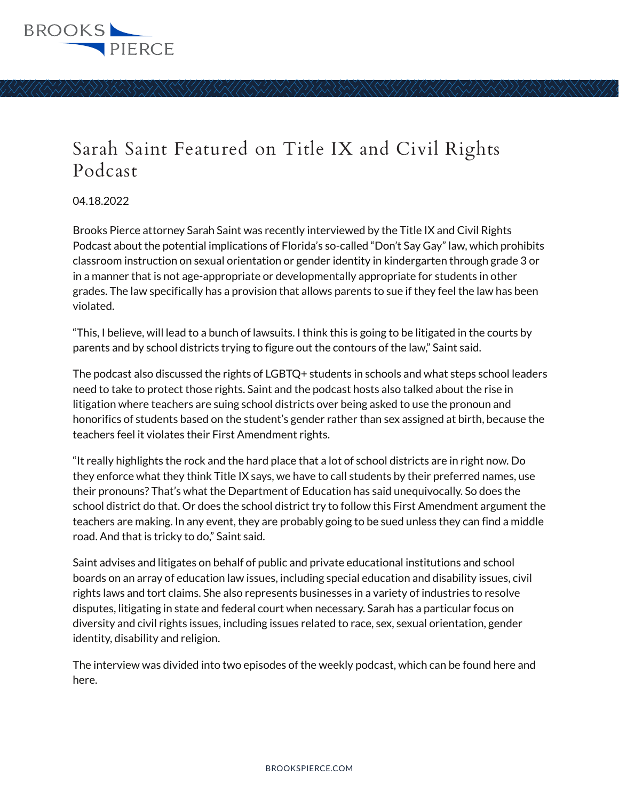

## Sarah Saint Featured on Title IX and Civil Rights Podcast

04.18.2022

Brooks Pierce attorney Sarah Saint was recently interviewed by the Title IX and Civil Rights Podcast about the potential implications of Florida's so-called "Don't Say Gay" law, which prohibits classroom instruction on sexual orientation or gender identity in kindergarten through grade 3 or in a manner that is not age-appropriate or developmentally appropriate for students in other grades. The law specifically has a provision that allows parents to sue if they feel the law has been violated.

"This, I believe, will lead to a bunch of lawsuits. I think this is going to be litigated in the courts by parents and by school districts trying to figure out the contours of the law," Saint said.

The podcast also discussed the rights of LGBTQ+ students in schools and what steps school leaders need to take to protect those rights. Saint and the podcast hosts also talked about the rise in litigation where teachers are suing school districts over being asked to use the pronoun and honorifics of students based on the student's gender rather than sex assigned at birth, because the teachers feel it violates their First Amendment rights.

"It really highlights the rock and the hard place that a lot of school districts are in right now. Do they enforce what they think Title IX says, we have to call students by their preferred names, use their pronouns? That's what the Department of Education has said unequivocally. So does the school district do that. Or does the school district try to follow this First Amendment argument the teachers are making. In any event, they are probably going to be sued unless they can find a middle road. And that is tricky to do," Saint said.

Saint advises and litigates on behalf of public and private educational institutions and school boards on an array of education law issues, including special education and disability issues, civil rights laws and tort claims. She also represents businesses in a variety of industries to resolve disputes, litigating in state and federal court when necessary. Sarah has a particular focus on diversity and civil rights issues, including issues related to race, sex, sexual orientation, gender identity, disability and religion.

The interview was divided into two episodes of the weekly podcast, which can be found here and here.